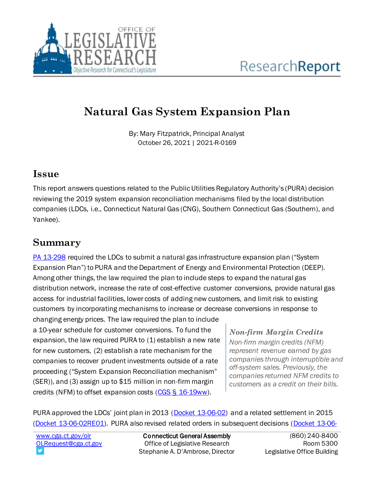

# **Natural Gas System Expansion Plan**

By: Mary Fitzpatrick, Principal Analyst October 26, 2021 | 2021-R-0169

#### **Issue**

This report answers questions related to the Public Utilities Regulatory Authority's (PURA) decision reviewing the 2019 system expansion reconciliation mechanisms filed by the local distribution companies (LDCs, i.e., Connecticut Natural Gas (CNG), Southern Connecticut Gas (Southern), and Yankee).

## **Summary**

[PA 13-298](https://cga.ct.gov/asp/cgabillstatus/cgabillstatus.asp?selBillType=Public+Act&which_year=2013&bill_num=298) required the LDCs to submit a natural gas infrastructure expansion plan ("System Expansion Plan") to PURA and the Department of Energy and Environmental Protection (DEEP). Among other things, the law required the plan to include steps to expand the natural gas distribution network, increase the rate of cost-effective customer conversions, provide natural gas access for industrial facilities, lower costs of adding new customers, and limit risk to existing customers by incorporating mechanisms to increase or decrease conversions in response to

changing energy prices. The law required the plan to include a 10-year schedule for customer conversions. To fund the expansion, the law required PURA to (1) establish a new rate for new customers, (2) establish a rate mechanism for the companies to recover prudent investments outside of a rate proceeding ("System Expansion Reconciliation mechanism" (SER)), and (3) assign up to \$15 million in non-firm margin credits (NFM) to offset expansion costs [\(CGS § 16-19ww\)](https://cga.ct.gov/current/pub/chap_277.htm#sec_16-19ww).

*Non-firm Margin Credits Non-firm margin credits (NFM) represent revenue earned by gas companies through interruptible and off-system sales. Previously, the companies returned NFM credits to customers as a credit on their bills.* 

PURA approved the LDCs' joint plan in 2013 ([Docket 13-06-02\)](http://www.dpuc.state.ct.us/dockhistpost2000.nsf/8e6fc37a54110e3e852576190052b64d/cd8875627a046a3f8525829c00734883?OpenDocument) and a related settlement in 2015 [\(Docket 13-06-02RE01\).](http://www.dpuc.state.ct.us/dockhistpost2000.nsf/8e6fc37a54110e3e852576190052b64d/c5e452926e597e048525829c007359ee?OpenDocument) PURA also revised related orders in subsequent decisions [\(Docket 13-06-](http://www.dpuc.state.ct.us/dockhistpost2000.nsf/8e6fc37a54110e3e852576190052b64d/cf109a751044e2498525829c00735fa9?OpenDocument)

[www.cga.ct.gov/olr](http://www.cga.ct.gov/olr) [OLRequest@cga.ct.gov](mailto:OLRequest@cga.ct.gov)

Connecticut General Assembly Office of Legislative Research Stephanie A. D'Ambrose, Director

(860) 240-8400 Room 5300 Legislative Office Building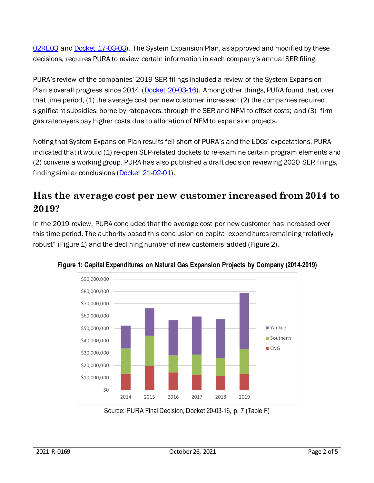[02RE03](http://www.dpuc.state.ct.us/dockhistpost2000.nsf/8e6fc37a54110e3e852576190052b64d/cf109a751044e2498525829c00735fa9?OpenDocument) an[d Docket 17-03-03\)](http://www.dpuc.state.ct.us/2nddockcurr.nsf/8e6fc37a54110e3e852576190052b64d/2cab8d1d9f877cb7852587520077b1de?OpenDocument). The System Expansion Plan, as approved and modified by these decisions, requires PURA to review certain information in each company's annual SER filing.

PURA's review of the companies' 2019 SER filings included a review of the System Expansion Plan's overall progress since 2014 ([Docket 20-03-16\)](http://www.dpuc.state.ct.us/dockcurr.nsf/8e6fc37a54110e3e852576190052b64d/8e00480e9d8744fe852586470067fa5a?OpenDocument). Among other things, PURA found that, over that time period, (1) the average cost per new customer increased; (2) the companies required significant subsidies, borne by ratepayers, through the SER and NFM to offset costs; and (3) firm gas ratepayers pay higher costs due to allocation of NFM to expansion projects.

Noting that System Expansion Plan results fell short of PURA's and the LDCs' expectations, PURA indicated that it would (1) re-open SEP-related dockets to re-examine certain program elements and (2) convene a working group. PURA has also published a draft decision reviewing 2020 SER filings, finding similar conclusions [\(Docket 21-02-01\).](http://www.dpuc.state.ct.us/dockcurr.nsf/8e6fc37a54110e3e852576190052b64d/8dee5c59cdc442c68525876f0046acdf?OpenDocument)

#### **Has the average cost per new customer increased from 2014 to 2019?**

In the 2019 review, PURA concluded that the average cost per new customer has increased over this time period. The authority based this conclusion on capital expenditures remaining "relatively robust" (Figure 1) and the declining number of new customers added (Figure 2).



**Figure 1: Capital Expenditures on Natural Gas Expansion Projects by Company (2014-2019)**

Source: PURA Final Decision, Docket 20-03-16, p. 7 (Table F)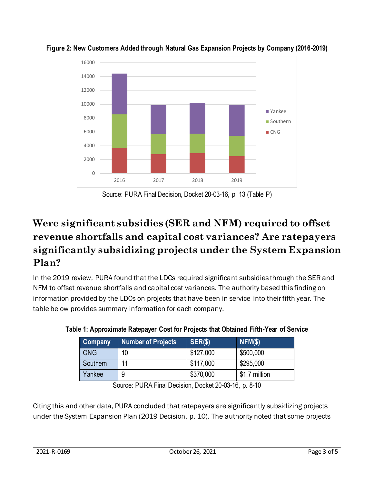

**Figure 2: New Customers Added through Natural Gas Expansion Projects by Company (2016-2019)**

Source: PURA Final Decision, Docket 20-03-16, p. 13 (Table P)

# **Were significant subsidies (SER and NFM) required to offset revenue shortfalls and capital cost variances? Are ratepayers significantly subsidizing projects under the System Expansion Plan?**

In the 2019 review, PURA found that the LDCs required significant subsidies through the SER and NFM to offset revenue shortfalls and capital cost variances. The authority based this finding on information provided by the LDCs on projects that have been in service into their fifth year. The table below provides summary information for each company.

| <b>Company</b> | <b>Number of Projects</b> | SER(\$)   | $NFM(\$)$     |
|----------------|---------------------------|-----------|---------------|
| l CNG          | 10                        | \$127,000 | \$500,000     |
| Southern       | 11                        | \$117,000 | \$295,000     |
| Yankee         | 9                         | \$370,000 | \$1.7 million |

**Table 1: Approximate Ratepayer Cost for Projects that Obtained Fifth-Year of Service**

Source: PURA Final Decision, Docket 20-03-16, p. 8-10

Citing this and other data, PURA concluded that ratepayers are significantly subsidizing projects under the System Expansion Plan (2019 Decision, p. 10). The authority noted that some projects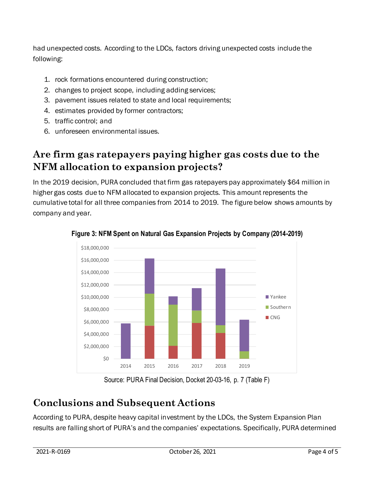had unexpected costs. According to the LDCs, factors driving unexpected costs include the following:

- 1. rock formations encountered during construction;
- 2. changes to project scope, including adding services;
- 3. pavement issues related to state and local requirements;
- 4. estimates provided by former contractors;
- 5. traffic control; and
- 6. unforeseen environmental issues.

## **Are firm gas ratepayers paying higher gas costs due to the NFM allocation to expansion projects?**

In the 2019 decision, PURA concluded that firm gas ratepayers pay approximately \$64 million in higher gas costs due to NFM allocated to expansion projects. This amount represents the cumulative total for all three companies from 2014 to 2019. The figure below shows amounts by company and year.



**Figure 3: NFM Spent on Natural Gas Expansion Projects by Company (2014-2019)**

Source: PURA Final Decision, Docket 20-03-16, p. 7 (Table F)

#### **Conclusions and Subsequent Actions**

According to PURA, despite heavy capital investment by the LDCs, the System Expansion Plan results are falling short of PURA's and the companies' expectations. Specifically, PURA determined